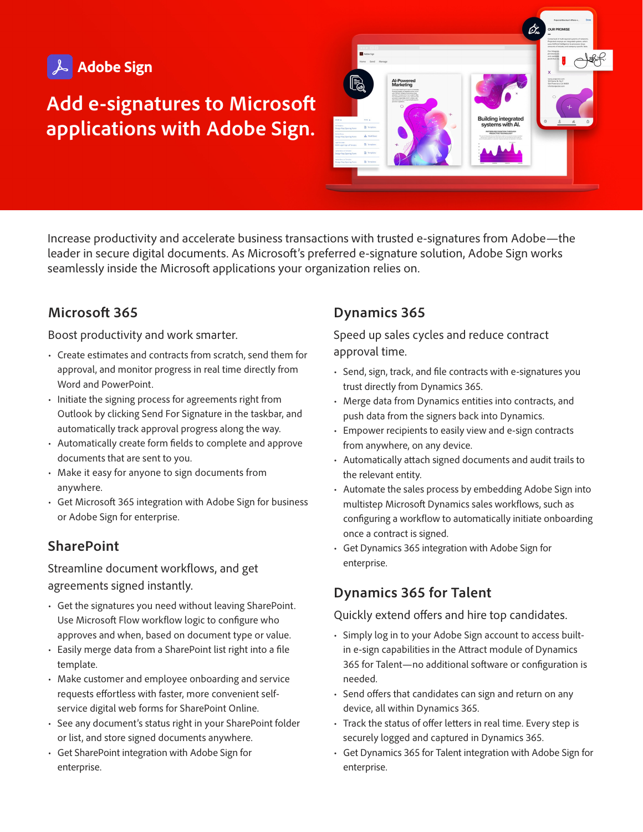

# **Add e-signatures to Microsoft applications with Adobe Sign.**



Increase productivity and accelerate business transactions with trusted e-signatures from Adobe—the leader in secure digital documents. As Microsoft's preferred e-signature solution, Adobe Sign works seamlessly inside the Microsoft applications your organization relies on.

# **Microsoft 365**

Boost productivity and work smarter.

- Create estimates and contracts from scratch, send them for approval, and monitor progress in real time directly from Word and PowerPoint.
- Initiate the signing process for agreements right from Outlook by clicking Send For Signature in the taskbar, and automatically track approval progress along the way.
- Automatically create form fields to complete and approve documents that are sent to you.
- Make it easy for anyone to sign documents from anywhere.
- Get Microsoft 365 integration with Adobe Sign for business or Adobe Sign for enterprise.

# **SharePoint**

Streamline document workflows, and get agreements signed instantly.

- Get the signatures you need without leaving SharePoint. Use Microsoft Flow workflow logic to configure who approves and when, based on document type or value.
- Easily merge data from a SharePoint list right into a file template.
- Make customer and employee onboarding and service requests effortless with faster, more convenient selfservice digital web forms for SharePoint Online.
- See any document's status right in your SharePoint folder or list, and store signed documents anywhere.
- Get SharePoint integration with Adobe Sign for enterprise.

# **Dynamics 365**

Speed up sales cycles and reduce contract approval time.

- Send, sign, track, and file contracts with e-signatures you trust directly from Dynamics 365.
- Merge data from Dynamics entities into contracts, and push data from the signers back into Dynamics.
- Empower recipients to easily view and e-sign contracts from anywhere, on any device.
- Automatically attach signed documents and audit trails to the relevant entity.
- Automate the sales process by embedding Adobe Sign into multistep Microsoft Dynamics sales workflows, such as configuring a workflow to automatically initiate onboarding once a contract is signed.
- Get Dynamics 365 integration with Adobe Sign for enterprise.

# **Dynamics 365 for Talent**

### Quickly extend offers and hire top candidates.

- Simply log in to your Adobe Sign account to access builtin e-sign capabilities in the Attract module of Dynamics 365 for Talent—no additional software or configuration is needed.
- Send offers that candidates can sign and return on any device, all within Dynamics 365.
- Track the status of offer letters in real time. Every step is securely logged and captured in Dynamics 365.
- Get Dynamics 365 for Talent integration with Adobe Sign for enterprise.